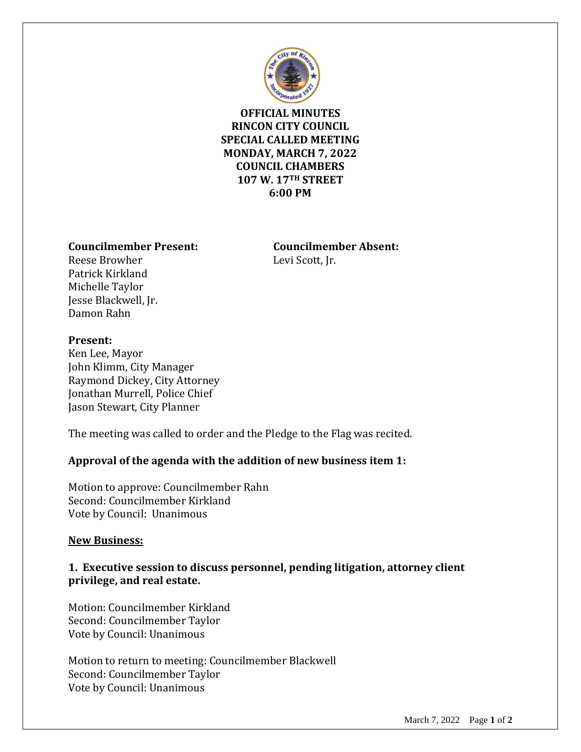

**OFFICIAL MINUTES RINCON CITY COUNCIL SPECIAL CALLED MEETING MONDAY, MARCH 7, 2022 COUNCIL CHAMBERS 107 W. 17TH STREET 6:00 PM**

## **Councilmember Present: Councilmember Absent:**

Reese Browher Levi Scott, Ir. Patrick Kirkland Michelle Taylor Jesse Blackwell, Jr. Damon Rahn

## **Present:**

Ken Lee, Mayor John Klimm, City Manager Raymond Dickey, City Attorney Jonathan Murrell, Police Chief Jason Stewart, City Planner

The meeting was called to order and the Pledge to the Flag was recited.

## **Approval of the agenda with the addition of new business item 1:**

Motion to approve: Councilmember Rahn Second: Councilmember Kirkland Vote by Council: Unanimous

#### **New Business:**

# **1. Executive session to discuss personnel, pending litigation, attorney client privilege, and real estate.**

Motion: Councilmember Kirkland Second: Councilmember Taylor Vote by Council: Unanimous

Motion to return to meeting: Councilmember Blackwell Second: Councilmember Taylor Vote by Council: Unanimous